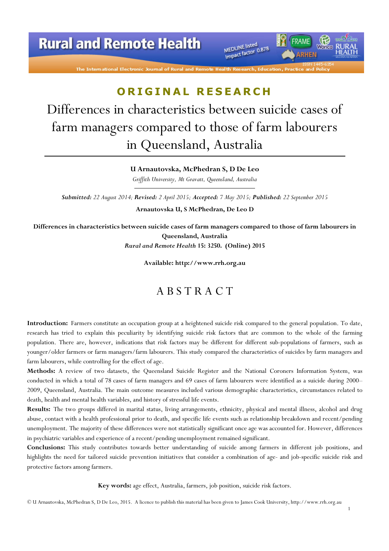# **Rural and Remote Health**

The International Electronic Journal of Rural ar

MEDLINE listed MEDLINE listed<br>Impact factor 0.878

# ORIGINAL RESEARCH

Differences in characteristics between suicide cases of farm managers compared to those of farm labourers in Queensland, Australia

U Arnautovska, McPhedran S, D De Leo

Griffith University, Mt Gravatt, Queensland, Australia

Submitted: 22 August 2014; Revised: 2 April 2015; Accepted: 7 May 2015; Published: 22 September 2015

Arnautovska U, S McPhedran, De Leo D

Differences in characteristics between suicide cases of farm managers compared to those of farm labourers in Queensland, Australia

Rural and Remote Health 15: 3250. (Online) 2015

Available: http://www.rrh.org.au

### A B S T R A C T

Introduction: Farmers constitute an occupation group at a heightened suicide risk compared to the general population. To date, research has tried to explain this peculiarity by identifying suicide risk factors that are common to the whole of the farming population. There are, however, indications that risk factors may be different for different sub-populations of farmers, such as younger/older farmers or farm managers/farm labourers. This study compared the characteristics of suicides by farm managers and farm labourers, while controlling for the effect of age.

Methods: A review of two datasets, the Queensland Suicide Register and the National Coroners Information System, was conducted in which a total of 78 cases of farm managers and 69 cases of farm labourers were identified as a suicide during 2000– 2009, Queensland, Australia. The main outcome measures included various demographic characteristics, circumstances related to death, health and mental health variables, and history of stressful life events.

Results: The two groups differed in marital status, living arrangements, ethnicity, physical and mental illness, alcohol and drug abuse, contact with a health professional prior to death, and specific life events such as relationship breakdown and recent/pending unemployment. The majority of these differences were not statistically significant once age was accounted for. However, differences in psychiatric variables and experience of a recent/pending unemployment remained significant.

Conclusions: This study contributes towards better understanding of suicide among farmers in different job positions, and highlights the need for tailored suicide prevention initiatives that consider a combination of age- and job-specific suicide risk and protective factors among farmers.

Key words: age effect, Australia, farmers, job position, suicide risk factors.

1

© U Arnautovska, McPhedran S, D De Leo, 2015. A licence to publish this material has been given to James Cook University, http://www.rrh.org.au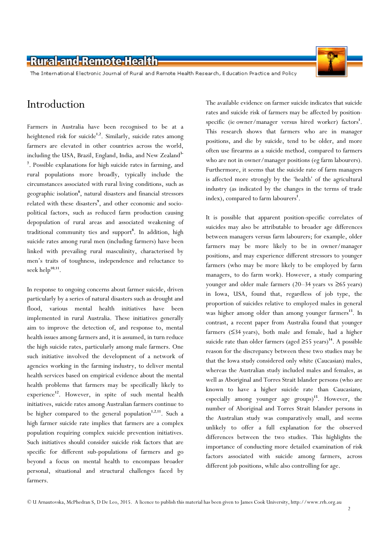The International Electronic Journal of Rural and Remote Health Research, Education Practice and Policy

### Introduction

Farmers in Australia have been recognised to be at a heightened risk for suicide<sup>1,2</sup>. Similarly, suicide rates among farmers are elevated in other countries across the world, including the USA, Brazil, England, India, and New Zealand<sup>3-</sup> 7 . Possible explanations for high suicide rates in farming, and rural populations more broadly, typically include the circumstances associated with rural living conditions, such as geographic isolation<sup>8</sup>, natural disasters and financial stressors related with these disasters<sup>9</sup>, and other economic and sociopolitical factors, such as reduced farm production causing depopulation of rural areas and associated weakening of traditional community ties and support<sup>8</sup>. In addition, high suicide rates among rural men (including farmers) have been linked with prevailing rural masculinity, characterised by men's traits of toughness, independence and reluctance to seek help $^{10,11}$ .

In response to ongoing concerns about farmer suicide, driven particularly by a series of natural disasters such as drought and flood, various mental health initiatives have been implemented in rural Australia. These initiatives generally aim to improve the detection of, and response to, mental health issues among farmers and, it is assumed, in turn reduce the high suicide rates, particularly among male farmers. One such initiative involved the development of a network of agencies working in the farming industry, to deliver mental health services based on empirical evidence about the mental health problems that farmers may be specifically likely to experience<sup>12</sup>. However, in spite of such mental health initiatives, suicide rates among Australian farmers continue to be higher compared to the general population<sup>1,2,11</sup>. Such a high farmer suicide rate implies that farmers are a complex population requiring complex suicide prevention initiatives. Such initiatives should consider suicide risk factors that are specific for different sub-populations of farmers and go beyond a focus on mental health to encompass broader personal, situational and structural challenges faced by farmers.

The available evidence on farmer suicide indicates that suicide rates and suicide risk of farmers may be affected by positionspecific (ie owner/manager versus hired worker) factors<sup>1</sup>. This research shows that farmers who are in manager positions, and die by suicide, tend to be older, and more often use firearms as a suicide method, compared to farmers who are not in owner/manager positions (eg farm labourers). Furthermore, it seems that the suicide rate of farm managers is affected more strongly by the 'health' of the agricultural industry (as indicated by the changes in the terms of trade index), compared to farm labourers<sup>1</sup>.

It is possible that apparent position-specific correlates of suicides may also be attributable to broader age differences between managers versus farm labourers; for example, older farmers may be more likely to be in owner/manager positions, and may experience different stressors to younger farmers (who may be more likely to be employed by farm managers, to do farm work). However, a study comparing younger and older male farmers  $(20-34 \text{ years} \text{ vs } \geq 65 \text{ years})$ in Iowa, USA, found that, regardless of job type, the proportion of suicides relative to employed males in general was higher among older than among younger farmers<sup>13</sup>. In contrast, a recent paper from Australia found that younger farmers (≤34 years), both male and female, had a higher suicide rate than older farmers (aged  $\geq$ 55 years)<sup>14</sup>. A possible reason for the discrepancy between these two studies may be that the Iowa study considered only white (Caucasian) males, whereas the Australian study included males and females, as well as Aboriginal and Torres Strait Islander persons (who are known to have a higher suicide rate than Caucasians, especially among younger age groups)<sup>15</sup>. However, the number of Aboriginal and Torres Strait Islander persons in the Australian study was comparatively small, and seems unlikely to offer a full explanation for the observed differences between the two studies. This highlights the importance of conducting more detailed examination of risk factors associated with suicide among farmers, across different job positions, while also controlling for age.



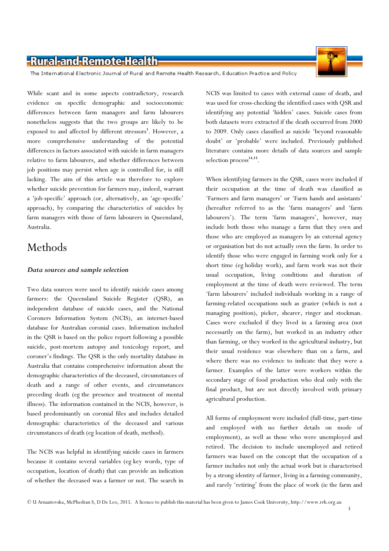The International Electronic Journal of Rural and Remote Health Research, Education Practice and Policy

While scant and in some aspects contradictory, research evidence on specific demographic and socioeconomic differences between farm managers and farm labourers nonetheless suggests that the two groups are likely to be exposed to and affected by different stressors<sup>1</sup>. However, a more comprehensive understanding of the potential differences in factors associated with suicide in farm managers relative to farm labourers, and whether differences between job positions may persist when age is controlled for, is still lacking. The aim of this article was therefore to explore whether suicide prevention for farmers may, indeed, warrant a 'job-specific' approach (or, alternatively, an 'age-specific' approach), by comparing the characteristics of suicides by farm managers with those of farm labourers in Queensland, Australia.

### Methods

#### Data sources and sample selection

Two data sources were used to identify suicide cases among farmers: the Queensland Suicide Register (QSR), an independent database of suicide cases, and the National Coroners Information System (NCIS), an internet-based database for Australian coronial cases. Information included in the QSR is based on the police report following a possible suicide, post-mortem autopsy and toxicology report, and coroner's findings. The QSR is the only mortality database in Australia that contains comprehensive information about the demographic characteristics of the deceased, circumstances of death and a range of other events, and circumstances preceding death (eg the presence and treatment of mental illness). The information contained in the NCIS, however, is based predominantly on coronial files and includes detailed demographic characteristics of the deceased and various circumstances of death (eg location of death, method).

The NCIS was helpful in identifying suicide cases in farmers because it contains several variables (eg key words, type of occupation, location of death) that can provide an indication of whether the deceased was a farmer or not. The search in

NCIS was limited to cases with external cause of death, and was used for cross-checking the identified cases with QSR and identifying any potential 'hidden' cases. Suicide cases from both datasets were extracted if the death occurred from 2000 to 2009. Only cases classified as suicide 'beyond reasonable doubt' or 'probable' were included. Previously published literature contains more details of data sources and sample selection process<sup>14,15</sup>.

When identifying farmers in the QSR, cases were included if their occupation at the time of death was classified as 'Farmers and farm managers' or 'Farm hands and assistants' (hereafter referred to as the 'farm managers' and 'farm labourers'). The term 'farm managers', however, may include both those who manage a farm that they own and those who are employed as managers by an external agency or organisation but do not actually own the farm. In order to identify those who were engaged in farming work only for a short time (eg holiday work), and farm work was not their usual occupation, living conditions and duration of employment at the time of death were reviewed. The term 'farm labourers' included individuals working in a range of farming-related occupations such as grazier (which is not a managing position), picker, shearer, ringer and stockman. Cases were excluded if they lived in a farming area (not necessarily on the farm), but worked in an industry other than farming, or they worked in the agricultural industry, but their usual residence was elsewhere than on a farm, and where there was no evidence to indicate that they were a farmer. Examples of the latter were workers within the secondary stage of food production who deal only with the final product, but are not directly involved with primary agricultural production.

All forms of employment were included (full-time, part-time and employed with no further details on mode of employment), as well as those who were unemployed and retired. The decision to include unemployed and retired farmers was based on the concept that the occupation of a farmer includes not only the actual work but is characterised by a strong identity of farmer, living in a farming community, and rarely 'retiring' from the place of work (ie the farm and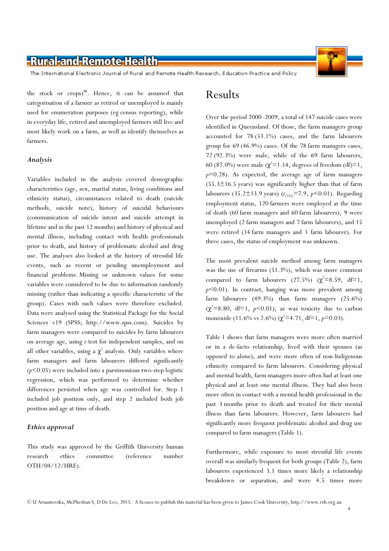The International Electronic Journal of Rural and Remote Health Research, Education Practice and Policy

the stock or  $\c{crops}$ <sup>16</sup>. Hence, it can be assumed that categorisation of a farmer as retired or unemployed is mainly used for enumeration purposes (eg census reporting), while in everyday life, retired and unemployed farmers still live and most likely work on a farm, as well as identify themselves as farmers.

#### Analysis

Variables included in the analysis covered demographic characteristics (age, sex, marital status, living conditions and ethnicity status), circumstances related to death (suicide methods, suicide note), history of suicidal behaviours (communication of suicide intent and suicide attempt in lifetime and in the past 12 months) and history of physical and mental illness, including contact with health professionals prior to death, and history of problematic alcohol and drug use. The analyses also looked at the history of stressful life events, such as recent or pending unemployment and financial problems. Missing or unknown values for some variables were considered to be due to information randomly missing (rather than indicating a specific characteristic of the group). Cases with such values were therefore excluded. Data were analysed using the Statistical Package for the Social Sciences v19 (SPSS; http://www.spss.com). Suicides by farm managers were compared to suicides by farm labourers on average age, using t-test for independent samples, and on all other variables, using a  $\chi^2$  analysis. Only variables where farm managers and farm labourers differed significantly  $(p<0.05)$  were included into a parsimonious two-step logistic regression, which was performed to determine whether differences persisted when age was controlled for. Step 1 included job position only, and step 2 included both job position and age at time of death.

#### Ethics approval

This study was approved by the Griffith University human research ethics committee (reference number OTH/04/12/HRE).

#### Results

Over the period 2000–2009, a total of 147 suicide cases were identified in Queensland. Of those, the farm managers group accounted for 78 (53.1%) cases, and the farm labourers group for 69 (46.9%) cases. Of the 78 farm managers cases, 72 (92.3%) were male, while of the 69 farm labourers, 60 (87.0%) were male ( $\chi^2$ =1.14, degrees of freedom (df)=1,  $p=0.28$ ). As expected, the average age of farm managers  $(55.3±16.5 \text{ years})$  was significantly higher than that of farm labourers (35.2 $\pm$ 13.9 years) ( $t_{(145)}$ =7.9, p<0.01). Regarding employment status, 120 farmers were employed at the time of death (60 farm managers and 60 farm labourers), 9 were unemployed (2 farm managers and 7 farm labourers), and 15 were retired (14 farm managers and 1 farm labourer). For three cases, the status of employment was unknown.

The most prevalent suicide method among farm managers was the use of firearms (51.3%), which was more common compared to farm labourers (27.5%) ( $\chi^2 = 8.59$ , df=1,  $p$ <0.01). In contrast, hanging was more prevalent among farm labourers (49.3%) than farm managers (25.6%)  $(\chi^2=8.80, df=1, p<0.01)$ , as was toxicity due to carbon monoxide (11.6% vs 2.6%) ( $\chi^2$ =4.71, df=1, p=0.03).

Table 1 shows that farm managers were more often married or in a de-facto relationship, lived with their spouses (as opposed to alone), and were more often of non-Indigenous ethnicity compared to farm labourers. Considering physical and mental health, farm managers more often had at least one physical and at least one mental illness. They had also been more often in contact with a mental health professional in the past 3 months prior to death and treated for their mental illness than farm labourers. However, farm labourers had significantly more frequent problematic alcohol and drug use compared to farm managers (Table 1).

Furthermore, while exposure to most stressful life events overall was similarly frequent for both groups (Table 2), farm labourers experienced 3.1 times more likely a relationship breakdown or separation, and were 4.5 times more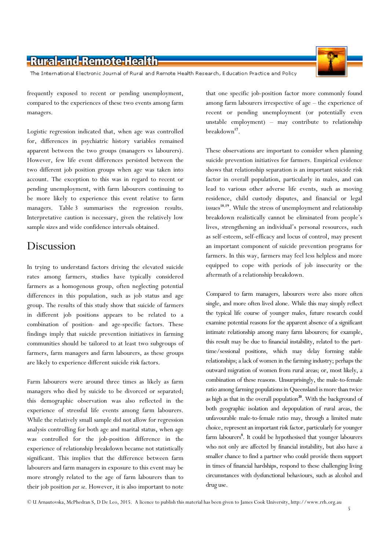The International Electronic Journal of Rural and Remote Health Research, Education Practice and Policy

frequently exposed to recent or pending unemployment, compared to the experiences of these two events among farm managers.

Logistic regression indicated that, when age was controlled for, differences in psychiatric history variables remained apparent between the two groups (managers vs labourers). However, few life event differences persisted between the two different job position groups when age was taken into account. The exception to this was in regard to recent or pending unemployment, with farm labourers continuing to be more likely to experience this event relative to farm managers. Table 3 summarises the regression results. Interpretative caution is necessary, given the relatively low sample sizes and wide confidence intervals obtained.

#### Discussion

In trying to understand factors driving the elevated suicide rates among farmers, studies have typically considered farmers as a homogenous group, often neglecting potential differences in this population, such as job status and age group. The results of this study show that suicide of farmers in different job positions appears to be related to a combination of position- and age-specific factors. These findings imply that suicide prevention initiatives in farming communities should be tailored to at least two subgroups of farmers, farm managers and farm labourers, as these groups are likely to experience different suicide risk factors.

Farm labourers were around three times as likely as farm managers who died by suicide to be divorced or separated; this demographic observation was also reflected in the experience of stressful life events among farm labourers. While the relatively small sample did not allow for regression analysis controlling for both age and marital status, when age was controlled for the job-position difference in the experience of relationship breakdown became not statistically significant. This implies that the difference between farm labourers and farm managers in exposure to this event may be more strongly related to the age of farm labourers than to their job position per se. However, it is also important to note that one specific job-position factor more commonly found among farm labourers irrespective of age – the experience of recent or pending unemployment (or potentially even unstable employment) – may contribute to relationship breakdown<sup>17</sup>.

These observations are important to consider when planning suicide prevention initiatives for farmers. Empirical evidence shows that relationship separation is an important suicide risk factor in overall population, particularly in males, and can lead to various other adverse life events, such as moving residence, child custody disputes, and financial or legal issues<sup>18,19</sup>. While the stress of unemployment and relationship breakdown realistically cannot be eliminated from people's lives, strengthening an individual's personal resources, such as self-esteem, self-efficacy and locus of control, may present an important component of suicide prevention programs for farmers. In this way, farmers may feel less helpless and more equipped to cope with periods of job insecurity or the aftermath of a relationship breakdown.

Compared to farm managers, labourers were also more often single, and more often lived alone. While this may simply reflect the typical life course of younger males, future research could examine potential reasons for the apparent absence of a significant intimate relationship among many farm labourers; for example, this result may be due to financial instability, related to the parttime/sessional positions, which may delay forming stable relationships; a lack of women in the farming industry; perhaps the outward migration of women from rural areas; or, most likely, a combination of these reasons. Unsurprisingly, the male-to-female ratio among farming populations in Queensland is more than twice as high as that in the overall population $2^{\circ}$ . With the background of both geographic isolation and depopulation of rural areas, the unfavourable male-to-female ratio may, through a limited mate choice, represent an important risk factor, particularly for younger farm labourers<sup>8</sup>. It could be hypothesised that younger labourers who not only are affected by financial instability, but also have a smaller chance to find a partner who could provide them support in times of financial hardships, respond to these challenging living circumstances with dysfunctional behaviours, such as alcohol and drug use.



5

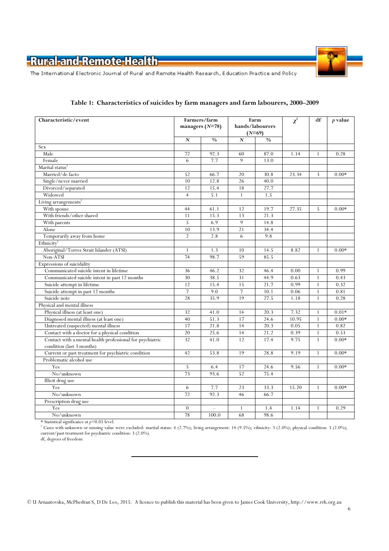

The International Electronic Journal of Rural and Remote Health Research, Education Practice and Policy

| Characteristic/event                                      | Farmers/farm      |               | Farm            |                           | $\chi^2$ | df           | $p$ value |
|-----------------------------------------------------------|-------------------|---------------|-----------------|---------------------------|----------|--------------|-----------|
|                                                           | managers $(N=78)$ |               | hands/labourers |                           |          |              |           |
|                                                           |                   |               |                 | $(N=69)$<br>$\frac{0}{0}$ |          |              |           |
| Sex                                                       | $\mathbf{N}$      | $\frac{0}{0}$ | N               |                           |          |              |           |
| Male                                                      | 72                | 92.3          | 60              | 87.0                      | 1.14     | $\mathbf{1}$ | 0.28      |
| Female                                                    | 6                 | 7.7           | 9               | 13.0                      |          |              |           |
| Marital status <sup>†</sup>                               |                   |               |                 |                           |          |              |           |
| Married/de facto                                          | 52                |               |                 | 30.8                      | 23.34    | 3            |           |
|                                                           | 10                | 66.7<br>12.8  | 20<br>26        | 40.0                      |          |              | $0.00*$   |
| Single/never married                                      | 12                | 15.4          | 18              | 27.7                      |          |              |           |
| Divorced/separated                                        | $\overline{4}$    |               |                 |                           |          |              |           |
| Widowed                                                   |                   | 5.1           | $\mathbf{1}$    | 1.5                       |          |              |           |
| Living arrangements <sup>1</sup>                          |                   |               |                 |                           |          |              |           |
| With spouse                                               | 44                | 61.1          | 12              | 19.7                      | 27.35    | 5            | $0.00*$   |
| With friends/other shared                                 | 11                | 15.3          | 13              | 21.3                      |          |              |           |
| With parents                                              | 5                 | 6.9           | 9               | 14.8                      |          |              |           |
| Alone                                                     | 10                | 13.9          | 21              | 34.4                      |          |              |           |
| Temporarily away from home                                | $\overline{2}$    | 2.8           | 6               | 9.8                       |          |              |           |
| Ethnicity                                                 |                   |               |                 |                           |          |              |           |
| Aboriginal/Torres Strait Islander (ATSI)                  | 1                 | 1.3           | 10              | 14.5                      | 8.82     | $\mathbf{1}$ | $0.00*$   |
| Non-ATSI                                                  | 74                | 98.7          | 59              | 85.5                      |          |              |           |
| Expressions of suicidality                                |                   |               |                 |                           |          |              |           |
| Communicated suicide intent in lifetime                   | 36                | 46.2          | 32              | 46.4                      | 0.00     | 1            | 0.99      |
| Communicated suicide intent in past 12 months             | 30                | 38.5          | 31              | 44.9                      | 0.63     | $\mathbf{1}$ | 0.43      |
| Suicide attempt in lifetime                               | 12                | 15.4          | 15              | 21.7                      | 0.99     | $\mathbf{1}$ | 0.32      |
| Suicide attempt in past 12 months                         | $\overline{7}$    | 9.0           | 7               | 10.1                      | 0.06     | $\mathbf{1}$ | 0.81      |
| Suicide note                                              | 28                | 35.9          | 19              | 27.5                      | 1.18     | $\mathbf{1}$ | 0.28      |
| Physical and mental illness                               |                   |               |                 |                           |          |              |           |
| Physical illness (at least one)                           | 32                | 41.0          | 14              | 20.3                      | 7.32     | $\mathbf{1}$ | $0.01*$   |
| Diagnosed mental illness (at least one)                   | 40                | 51.3          | 17              | 24.6                      | 10.95    | $\mathbf{1}$ | $0.00*$   |
| Untreated (suspected) mental illness                      | 17                | 21.8          | 14              | 20.3                      | 0.05     | $\mathbf{1}$ | 0.82      |
| Contact with a doctor for a physical condition            | 20                | 25.6          | 14              | 21.2                      | 0.39     | $\mathbf{1}$ | 0.53      |
| Contact with a mental health professional for psychiatric | 32                | 41.0          | 12              | 17.4                      | 9.75     | $\mathbf{1}$ | $0.00*$   |
| condition (last 3 months)                                 |                   |               |                 |                           |          |              |           |
| Current or past treatment for psychiatric condition       | 42                | 53.8          | 19              | 28.8                      | 9.19     | $\mathbf{1}$ | $0.00*$   |
| Problematic alcohol use                                   |                   |               |                 |                           |          |              |           |
| Yes                                                       | 5                 | 6.4           | 17              | 24.6                      | 9.56     | $\mathbf{1}$ | $0.00*$   |
| No/unknown                                                | 73                | 93.6          | 52              | 75.4                      |          |              |           |
| <b>Illicit</b> drug use                                   |                   |               |                 |                           |          |              |           |
| Yes                                                       | 6                 | 7.7           | 23              | 33.3                      | 15.20    | $\mathbf{1}$ | $0.00*$   |
| No/unknown                                                | 72                | 92.3          | 46              | 66.7                      |          |              |           |
| Prescription drug use                                     |                   |               |                 |                           |          |              |           |
| Yes                                                       | $\theta$          | $\equiv$      | 1               | 1.4                       | 1.14     | 1            | 0.29      |
| No/unknown                                                | 78                | 100.0         | 68              | 98.6                      |          |              |           |

#### Table 1: Characteristics of suicides by farm managers and farm labourers, 2000–2009

\* Statistical significance at  $p=0.05$  level.

† Cases with unknown or missing value were excluded: marital status: 4 (2.7%); living arrangement: 14 (9.5%); ethnicity: 3 (2.0%); physical condition: 3 (2.0%); current/past treatment for psychiatric condition: 3 (2.0%).

df, degrees of freedom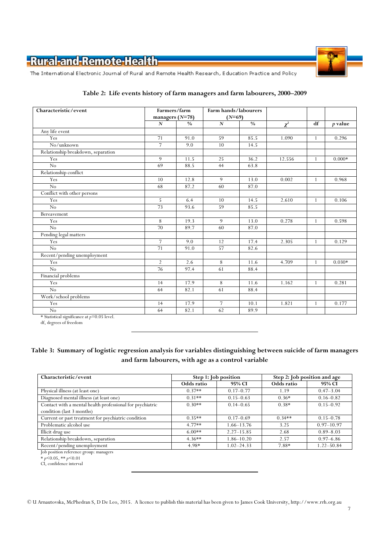

The International Electronic Journal of Rural and Remote Health Research, Education Practice and Policy

| Characteristic/event               | Farmers/farm     |                               | Farm hands/labourers |               |          |              |          |
|------------------------------------|------------------|-------------------------------|----------------------|---------------|----------|--------------|----------|
|                                    |                  | managers $(N=78)$<br>$(N=69)$ |                      |               |          |              |          |
|                                    | $\boldsymbol{N}$ | $\frac{0}{0}$                 | $\mathbf{N}$         | $\frac{0}{0}$ | $\chi^2$ | df           | p value  |
| Any life event                     |                  |                               |                      |               |          |              |          |
| Yes                                | 71               | 91.0                          | 59                   | 85.5          | 1.090    | 1            | 0.296    |
| No/unknown                         | $\overline{7}$   | 9.0                           | 10                   | 14.5          |          |              |          |
| Relationship breakdown, separation |                  |                               |                      |               |          |              |          |
| Yes                                | 9                | 11.5                          | 25                   | 36.2          | 12.556   | $\mathbf{1}$ | $0.000*$ |
| No                                 | 69               | 88.5                          | 44                   | 63.8          |          |              |          |
| Relationship conflict              |                  |                               |                      |               |          |              |          |
| Yes                                | 10               | 12.8                          | 9                    | 13.0          | 0.002    | $\mathbf{1}$ | 0.968    |
| No                                 | 68               | 87.2                          | 60                   | 87.0          |          |              |          |
| Conflict with other persons        |                  |                               |                      |               |          |              |          |
| Yes                                | 5                | 6.4                           | 10                   | 14.5          | 2.610    | $\mathbf{1}$ | 0.106    |
| No                                 | 73               | 93.6                          | 59                   | 85.5          |          |              |          |
| Bereavement                        |                  |                               |                      |               |          |              |          |
| Yes                                | 8                | 19.3                          | 9                    | 13.0          | 0.278    | $\mathbf{1}$ | 0.598    |
| $\overline{No}$                    | 70               | 89.7                          | 60                   | 87.0          |          |              |          |
| Pending legal matters              |                  |                               |                      |               |          |              |          |
| Yes                                | $\overline{7}$   | 9.0                           | 12                   | 17.4          | 2.305    | $\mathbf{1}$ | 0.129    |
| No                                 | $\overline{71}$  | 91.0                          | 57                   | 82.6          |          |              |          |
| Recent/pending unemployment        |                  |                               |                      |               |          |              |          |
| Yes                                | $\overline{2}$   | 2.6                           | 8                    | 11.6          | 4.709    | $\mathbf{1}$ | $0.030*$ |
| No                                 | 76               | 97.4                          | 61                   | 88.4          |          |              |          |
| Financial problems                 |                  |                               |                      |               |          |              |          |
| Yes                                | 14               | 17.9                          | 8                    | 11.6          | 1.162    | 1            | 0.281    |
| No                                 | 64               | 82.1                          | 61                   | 88.4          |          |              |          |
| Work/school problems               |                  |                               |                      |               |          |              |          |
| Yes                                | 14               | 17.9                          | 7                    | 10.1          | 1.821    | $\mathbf{1}$ | 0.177    |
| $\overline{No}$                    | 64               | 82.1                          | 62                   | 89.9          |          |              |          |
| 0.051<br>$\sim$ $\sim$             |                  |                               |                      |               |          |              |          |

#### Table 2: Life events history of farm managers and farm labourers, 2000–2009

 $*$  Statistical significance at  $p=0.05$  level.

df, degrees of freedom

#### Table 3: Summary of logistic regression analysis for variables distinguishing between suicide of farm managers and farm labourers, with age as a control variable

| Characteristic/event                                      |            | Step 1: Job position | Step 2: Job position and age |                |  |  |
|-----------------------------------------------------------|------------|----------------------|------------------------------|----------------|--|--|
|                                                           | Odds ratio | 95% CI               | Odds ratio                   | 95% CI         |  |  |
| Physical illness (at least one)                           | $0.37**$   | $0.17 - 0.77$        | 1.19                         | $0.47 - 3.04$  |  |  |
| Diagnosed mental illness (at least one)                   | $0.31**$   | $0.15 - 0.63$        | $0.36*$                      | $0.16 - 0.82$  |  |  |
| Contact with a mental health professional for psychiatric | $0.30**$   | $0.14 - 0.65$        | $0.38*$                      | $0.15 - 0.92$  |  |  |
| condition (last 3 months)                                 |            |                      |                              |                |  |  |
| Current or past treatment for psychiatric condition       | $0.35**$   | $0.17 - 0.69$        | $0.34**$                     | $0.15 - 0.78$  |  |  |
| Problematic alcohol use                                   | $4.77**$   | 1.66–13.76           | 3.25                         | $0.97 - 10.97$ |  |  |
| Illicit drug use                                          | $6.00**$   | $2.27 - 15.85$       | 2.68                         | $0.89 - 8.03$  |  |  |
| Relationship breakdown, separation                        | $4.36**$   | $1.86 - 10.20$       | 2.57                         | $0.97 - 6.86$  |  |  |
| Recent/pending unemployment                               | 4.98*      | $1.02 - 24.33$       | 7.88*                        | $1.22 - 50.84$ |  |  |

Job position reference group: managers

 $*$  p<0.05,  $*$  p<0.01

CI, confidence interval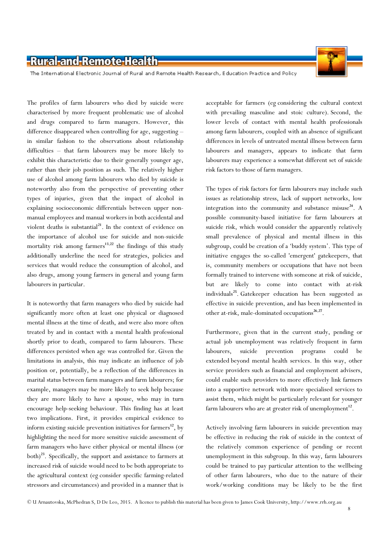

The International Electronic Journal of Rural and Remote Health Research, Education Practice and Policy

The profiles of farm labourers who died by suicide were characterised by more frequent problematic use of alcohol and drugs compared to farm managers. However, this difference disappeared when controlling for age, suggesting – in similar fashion to the observations about relationship difficulties – that farm labourers may be more likely to exhibit this characteristic due to their generally younger age, rather than their job position as such. The relatively higher use of alcohol among farm labourers who died by suicide is noteworthy also from the perspective of preventing other types of injuries, given that the impact of alcohol in explaining socioeconomic differentials between upper nonmanual employees and manual workers in both accidental and violent deaths is substantial<sup>21</sup>. In the context of evidence on the importance of alcohol use for suicide and non-suicide mortality risk among farmers $13,22$  the findings of this study additionally underline the need for strategies, policies and services that would reduce the consumption of alcohol, and also drugs, among young farmers in general and young farm labourers in particular.

It is noteworthy that farm managers who died by suicide had significantly more often at least one physical or diagnosed mental illness at the time of death, and were also more often treated by and in contact with a mental health professional shortly prior to death, compared to farm labourers. These differences persisted when age was controlled for. Given the limitations in analysis, this may indicate an influence of job position or, potentially, be a reflection of the differences in marital status between farm managers and farm labourers; for example, managers may be more likely to seek help because they are more likely to have a spouse, who may in turn encourage help-seeking behaviour. This finding has at least two implications. First, it provides empirical evidence to inform existing suicide prevention initiatives for farmers<sup>12</sup>, by highlighting the need for more sensitive suicide assessment of farm managers who have either physical or mental illness (or both)<sup>23</sup>. Specifically, the support and assistance to farmers at increased risk of suicide would need to be both appropriate to the agricultural context (eg consider specific farming-related stressors and circumstances) and provided in a manner that is

acceptable for farmers (eg considering the cultural context with prevailing masculine and stoic culture). Second, the lower levels of contact with mental health professionals among farm labourers, coupled with an absence of significant differences in levels of untreated mental illness between farm labourers and managers, appears to indicate that farm labourers may experience a somewhat different set of suicide risk factors to those of farm managers.

The types of risk factors for farm labourers may include such issues as relationship stress, lack of support networks, low integration into the community and substance misuse<sup>24</sup>. A possible community-based initiative for farm labourers at suicide risk, which would consider the apparently relatively small prevalence of physical and mental illness in this subgroup, could be creation of a 'buddy system'. This type of initiative engages the so-called 'emergent' gatekeepers, that is, community members or occupations that have not been formally trained to intervene with someone at risk of suicide, but are likely to come into contact with at-risk individuals<sup>25</sup>. Gatekeeper education has been suggested as effective in suicide prevention, and has been implemented in other at-risk, male-dominated occupations<sup>26,27</sup>.

Furthermore, given that in the current study, pending or actual job unemployment was relatively frequent in farm labourers, suicide prevention programs could be extended beyond mental health services. In this way, other service providers such as financial and employment advisers, could enable such providers to more effectively link farmers into a supportive network with more specialised services to assist them, which might be particularly relevant for younger farm labourers who are at greater risk of unemployment<sup>12</sup>.

Actively involving farm labourers in suicide prevention may be effective in reducing the risk of suicide in the context of the relatively common experience of pending or recent unemployment in this subgroup. In this way, farm labourers could be trained to pay particular attention to the wellbeing of other farm labourers, who due to the nature of their work/working conditions may be likely to be the first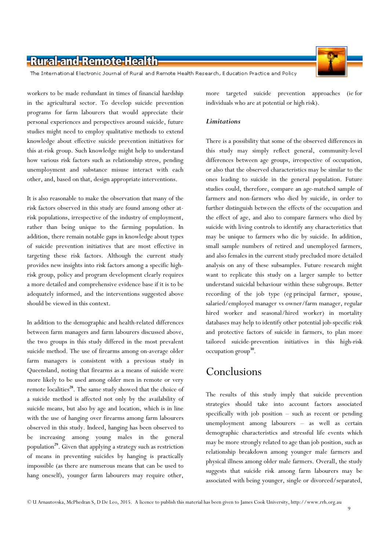The International Electronic Journal of Rural and Remote Health Research, Education Practice and Policy

workers to be made redundant in times of financial hardship in the agricultural sector. To develop suicide prevention programs for farm labourers that would appreciate their personal experiences and perspectives around suicide, future studies might need to employ qualitative methods to extend knowledge about effective suicide prevention initiatives for this at-risk group. Such knowledge might help to understand how various risk factors such as relationship stress, pending unemployment and substance misuse interact with each other, and, based on that, design appropriate interventions.

It is also reasonable to make the observation that many of the risk factors observed in this study are found among other atrisk populations, irrespective of the industry of employment, rather than being unique to the farming population. In addition, there remain notable gaps in knowledge about types of suicide prevention initiatives that are most effective in targeting these risk factors. Although the current study provides new insights into risk factors among a specific highrisk group, policy and program development clearly requires a more detailed and comprehensive evidence base if it is to be adequately informed, and the interventions suggested above should be viewed in this context.

In addition to the demographic and health-related differences between farm managers and farm labourers discussed above, the two groups in this study differed in the most prevalent suicide method. The use of firearms among on-average older farm managers is consistent with a previous study in Queensland, noting that firearms as a means of suicide were more likely to be used among older men in remote or very remote localities<sup>28</sup>. The same study showed that the choice of a suicide method is affected not only by the availability of suicide means, but also by age and location, which is in line with the use of hanging over firearms among farm labourers observed in this study. Indeed, hanging has been observed to be increasing among young males in the general population<sup>29</sup>. Given that applying a strategy such as restriction of means in preventing suicides by hanging is practically impossible (as there are numerous means that can be used to hang oneself), younger farm labourers may require other,

more targeted suicide prevention approaches (ie for individuals who are at potential or high risk).

#### **Limitations**

There is a possibility that some of the observed differences in this study may simply reflect general, community-level differences between age groups, irrespective of occupation, or also that the observed characteristics may be similar to the ones leading to suicide in the general population. Future studies could, therefore, compare an age-matched sample of farmers and non-farmers who died by suicide, in order to further distinguish between the effects of the occupation and the effect of age, and also to compare farmers who died by suicide with living controls to identify any characteristics that may be unique to farmers who die by suicide. In addition, small sample numbers of retired and unemployed farmers, and also females in the current study precluded more detailed analysis on any of these subsamples. Future research might want to replicate this study on a larger sample to better understand suicidal behaviour within these subgroups. Better recording of the job type (eg principal farmer, spouse, salaried/employed manager vs owner/farm manager, regular hired worker and seasonal/hired worker) in mortality databases may help to identify other potential job-specific risk and protective factors of suicide in farmers, to plan more tailored suicide-prevention initiatives in this high-risk occupation group<sup>30</sup>.

### Conclusions

The results of this study imply that suicide prevention strategies should take into account factors associated specifically with job position – such as recent or pending unemployment among labourers – as well as certain demographic characteristics and stressful life events which may be more strongly related to age than job position, such as relationship breakdown among younger male farmers and physical illness among older male farmers. Overall, the study suggests that suicide risk among farm labourers may be associated with being younger, single or divorced/separated,

 $\overline{9}$ 

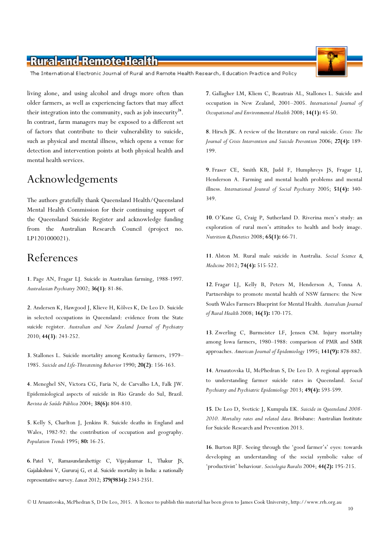The International Electronic Journal of Rural and Remote Health Research, Education Practice and Policy

living alone, and using alcohol and drugs more often than older farmers, as well as experiencing factors that may affect their integration into the community, such as job insecurity<sup>24</sup>. In contrast, farm managers may be exposed to a different set of factors that contribute to their vulnerability to suicide, such as physical and mental illness, which opens a venue for detection and intervention points at both physical health and mental health services.

# Acknowledgements

The authors gratefully thank Queensland Health/Queensland Mental Health Commission for their continuing support of the Queensland Suicide Register and acknowledge funding from the Australian Research Council (project no. LP1201000021).

# References

1. Page AN, Fragar LJ. Suicide in Australian farming, 1988-1997. Australasian Psychiatry 2002; 36(1): 81-86.

2. Andersen K, Hawgood J, Klieve H, Kõlves K, De Leo D. Suicide in selected occupations in Queensland: evidence from the State suicide register. Australian and New Zealand Journal of Psychiatry 2010; 44(3): 243-252.

3. Stallones L. Suicide mortality among Kentucky farmers, 1979– 1985. Suicide and Life-Threatening Behavior 1990; 20(2): 156-163.

4. Meneghel SN, Victora CG, Faria N, de Carvalho LA, Falk JW. Epidemiological aspects of suicide in Rio Grande do Sul, Brazil. Revista de Saúde Pública 2004; 38(6): 804-810.

5. Kelly S, Charlton J, Jenkins R. Suicide deaths in England and Wales, 1982-92: the contribution of occupation and geography. Population Trends 1995; 80: 16-25.

6. Patel V, Ramasundarahettige C, Vijayakumar L, Thakur JS, Gajalakshmi V, Gururaj G, et al. Suicide mortality in India: a nationally representative survey. Lancet 2012; 379(9834): 2343-2351.

7. Gallagher LM, Kliem C, Beautrais AL, Stallones L. Suicide and occupation in New Zealand, 2001–2005. International Journal of Occupational and Environmental Health 2008; 14(1): 45-50.

8. Hirsch JK. A review of the literature on rural suicide. Crisis: The Journal of Crisis Intervention and Suicide Prevention 2006; 27(4): 189- 199.

9. Fraser CE, Smith KB, Judd F, Humphreys JS, Fragar LJ, Henderson A. Farming and mental health problems and mental illness. International Jounral of Social Psychiatry 2005; 51(4): 340-349.

10. O'Kane G, Craig P, Sutherland D. Riverina men's study: an exploration of rural men's attitudes to health and body image. Nutrition & Dietetics 2008; 65(1): 66-71.

11. Alston M. Rural male suicide in Australia. Social Science & Medicine 2012; 74(4): 515-522.

12. Fragar LJ, Kelly B, Peters M, Henderson A, Tonna A. Partnerships to promote mental health of NSW farmers: the New South Wales Farmers Blueprint for Mental Health. Australian Journal of Rural Health 2008; 16(3): 170-175.

13. Zwerling C, Burmeister LF, Jensen CM. Injury mortality among Iowa farmers, 1980–1988: comparison of PMR and SMR approaches. American Journal of Epidemiology 1995; 141(9): 878-882.

14. Arnautovska U, McPhedran S, De Leo D. A regional approach to understanding farmer suicide rates in Queensland. Social Psychiatry and Psychiatric Epidemiology 2013; 49(4): 593-599.

15. De Leo D, Sveticic J, Kumpula EK. Suicide in Queensland 2008- 2010. Mortality rates and related data. Brisbane: Australian Institute for Suicide Research and Prevention 2013.

16. Burton RJF. Seeing through the 'good farmer's' eyes: towards developing an understanding of the social symbolic value of 'productivist' behaviour. Sociologia Ruralis 2004; 44(2): 195-215.